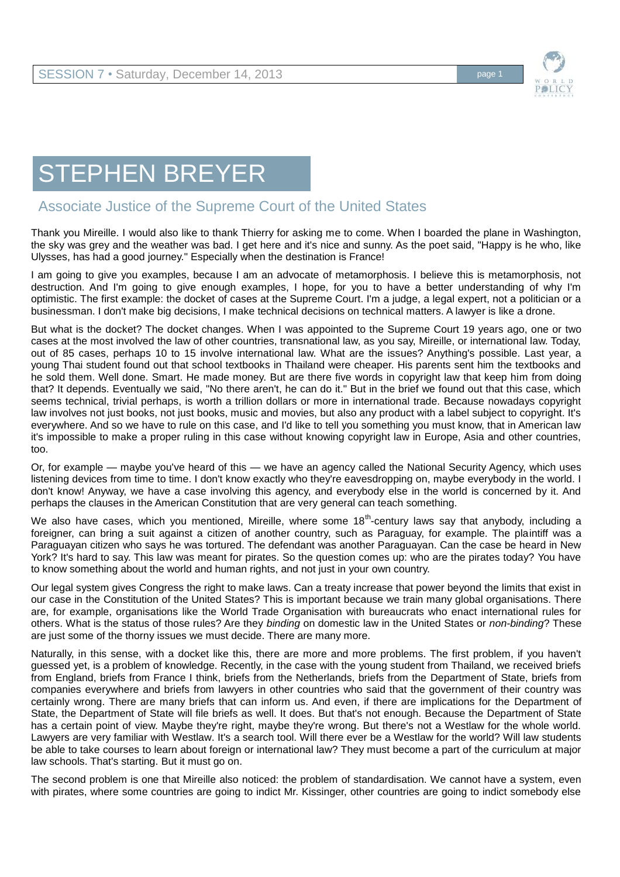

## STEPHEN BREYER

## Associate Justice of the Supreme Court of the United States

Thank you Mireille. I would also like to thank Thierry for asking me to come. When I boarded the plane in Washington, the sky was grey and the weather was bad. I get here and it's nice and sunny. As the poet said, "Happy is he who, like Ulysses, has had a good journey." Especially when the destination is France!

I am going to give you examples, because I am an advocate of metamorphosis. I believe this is metamorphosis, not destruction. And I'm going to give enough examples, I hope, for you to have a better understanding of why I'm optimistic. The first example: the docket of cases at the Supreme Court. I'm a judge, a legal expert, not a politician or a businessman. I don't make big decisions, I make technical decisions on technical matters. A lawyer is like a drone.

But what is the docket? The docket changes. When I was appointed to the Supreme Court 19 years ago, one or two cases at the most involved the law of other countries, transnational law, as you say, Mireille, or international law. Today, out of 85 cases, perhaps 10 to 15 involve international law. What are the issues? Anything's possible. Last year, a young Thai student found out that school textbooks in Thailand were cheaper. His parents sent him the textbooks and he sold them. Well done. Smart. He made money. But are there five words in copyright law that keep him from doing that? It depends. Eventually we said, "No there aren't, he can do it." But in the brief we found out that this case, which seems technical, trivial perhaps, is worth a trillion dollars or more in international trade. Because nowadays copyright law involves not just books, not just books, music and movies, but also any product with a label subject to copyright. It's everywhere. And so we have to rule on this case, and I'd like to tell you something you must know, that in American law it's impossible to make a proper ruling in this case without knowing copyright law in Europe, Asia and other countries, too.

Or, for example — maybe you've heard of this — we have an agency called the National Security Agency, which uses listening devices from time to time. I don't know exactly who they're eavesdropping on, maybe everybody in the world. I don't know! Anyway, we have a case involving this agency, and everybody else in the world is concerned by it. And perhaps the clauses in the American Constitution that are very general can teach something.

We also have cases, which you mentioned, Mireille, where some 18<sup>th</sup>-century laws say that anybody, including a foreigner, can bring a suit against a citizen of another country, such as Paraguay, for example. The plaintiff was a Paraguayan citizen who says he was tortured. The defendant was another Paraguayan. Can the case be heard in New York? It's hard to say. This law was meant for pirates. So the question comes up: who are the pirates today? You have to know something about the world and human rights, and not just in your own country.

Our legal system gives Congress the right to make laws. Can a treaty increase that power beyond the limits that exist in our case in the Constitution of the United States? This is important because we train many global organisations. There are, for example, organisations like the World Trade Organisation with bureaucrats who enact international rules for others. What is the status of those rules? Are they *binding* on domestic law in the United States or *non-binding*? These are just some of the thorny issues we must decide. There are many more.

Naturally, in this sense, with a docket like this, there are more and more problems. The first problem, if you haven't guessed yet, is a problem of knowledge. Recently, in the case with the young student from Thailand, we received briefs from England, briefs from France I think, briefs from the Netherlands, briefs from the Department of State, briefs from companies everywhere and briefs from lawyers in other countries who said that the government of their country was certainly wrong. There are many briefs that can inform us. And even, if there are implications for the Department of State, the Department of State will file briefs as well. It does. But that's not enough. Because the Department of State has a certain point of view. Maybe they're right, maybe they're wrong. But there's not a Westlaw for the whole world. Lawyers are very familiar with Westlaw. It's a search tool. Will there ever be a Westlaw for the world? Will law students be able to take courses to learn about foreign or international law? They must become a part of the curriculum at major law schools. That's starting. But it must go on.

The second problem is one that Mireille also noticed: the problem of standardisation. We cannot have a system, even with pirates, where some countries are going to indict Mr. Kissinger, other countries are going to indict somebody else